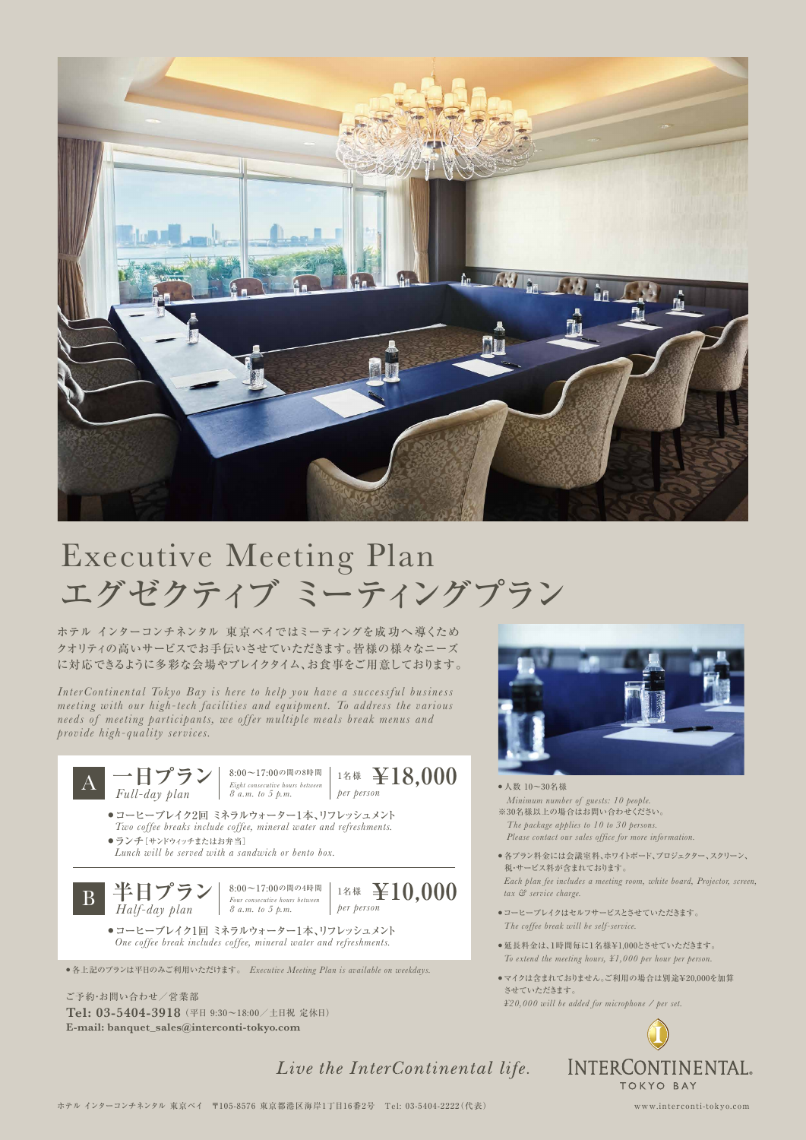

## エグゼクティブ ミーティングプラン Executive Meeting Plan

ホテル インターコンチネンタル 東京ベイではミーティングを成功へ導くため クオリティの高いサービスでお手伝いさせていただきます。皆様の様々なニーズ に対応できるように多彩な会場やブレイクタイム、お食事をご用意しております。

*InterContinental Tok yo Bay is here to help you have a successful business meeting with our high-tech facilities and equipment. To address the various needs of meeting participants, we offer multiple meals break menus and provide high-quality services.*



● 各上記のプランは平日のみご利用いただけます。 *Executive Meeting Plan is available on weekdays*.

ご予約・お問い合わせ/営業部 Tel: 03-5404-3918 (平日 9:30~18:00 /土日祝 定休日) **E-mail: banquet\_sales@interconti-tokyo.com**

Live the InterContinental life.



- 人数 10~30名様  *Minimum number of guests: 10 people.* ※30名様以上の場合はお問い合わせください。  *The package applies to 10 to 30 persons. Please contact our sales office for more information.*
- 各プラン料金には会議室料、ホワイトボード、プロジェクター、スクリーン、 税・サービス料が含まれております。  *Each plan fee includes a meeting room, white board, Projector, screen, tax & service charge.*
- コーヒーブレイクはセルフサービスとさせていただきます。  *The coffee break will be self-service.*
- 延長料金は、1時間毎に1名様¥1,000とさせていただきます。  *To extend the meeting hours, ¥1,000 per hour per person.*
- マイクは含まれておりません。ご利用の場合は別途¥20,000を加算 させていただきます。  *¥20,000 will be added for microphone / per set.*